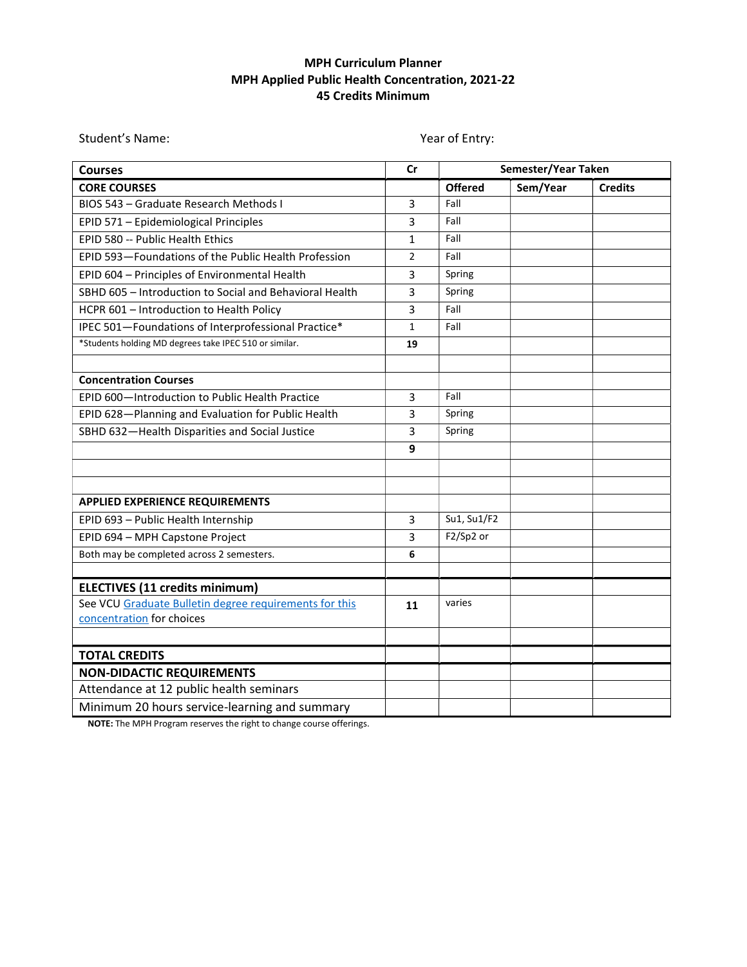## MPH Curriculum Planner MPH Applied Public Health Concentration, 2021-22 45 Credits Minimum

Courses Courses Courses Courses Courses Courses Courses Courses Courses Courses Courses Courses Courses Courses CORE COURSES Offered Sem/Year Credits BIOS 543 – Graduate Research Methods I  $\vert$  3  $\vert$  Fall EPID 571 – Epidemiological Principles **1988 Fall** EPID 580 -- Public Health Ethics  $\begin{array}{ccc} 1 & 1 \\ 1 & 1 \end{array}$  Fall EPID 593-Foundations of the Public Health Profession 2 Fall EPID 604 – Principles of Environmental Health  $\vert$  3 Spring SBHD 605 – Introduction to Social and Behavioral Health  $\begin{array}{|c|c|c|c|c|} \hline \end{array}$  3 Spring HCPR 601 – Introduction to Health Policy **Fall** 3 Fall IPEC 501—Foundations of Interprofessional Practice\* 1 Fall \*Students holding MD degrees take IPEC 510 or similar. 19 Concentration Courses EPID 600-Introduction to Public Health Practice 1989 1989 1981 EPID 628-Planning and Evaluation for Public Health  $\begin{array}{|c|c|c|c|c|}\n\hline\n3 & & Spring\n\end{array}$ SBHD 632—Health Disparities and Social Justice **3** 3 Spring (2022) 9 APPLIED EXPERIENCE REQUIREMENTS EPID 693 – Public Health Internship  $\begin{array}{|c|c|c|c|c|c|c|c|c|} \hline 3 & 3 & \text{S}u1, \text{Su1/F2} \hline \end{array}$ **EPID 694 – MPH Capstone Project** 2 **F2/Sp2 or** Both may be completed across 2 semesters.  $\begin{array}{|l|} \hline \textbf{6} \end{array}$ ELECTIVES (11 credits minimum) See VCU Graduate Bulletin degree requirements for this concentration for choices 11 varies TOTAL CREDITS NON-DIDACTIC REQUIREMENTS Attendance at 12 public health seminars Minimum 20 hours service-learning and summary

NOTE: The MPH Program reserves the right to change course offerings.

Student's Name: The Controller of Entry: The Vear of Entry: